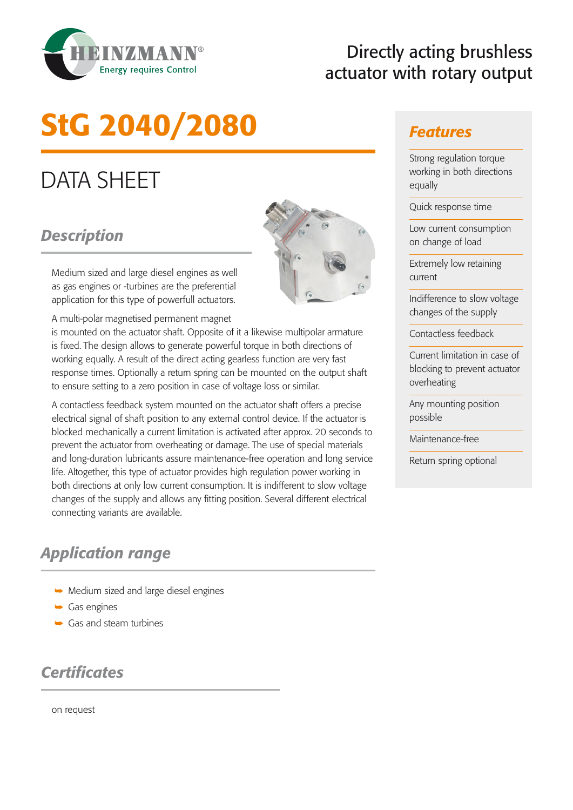

# Directly acting brushless actuator with rotary output

# StG 2040/2080

# DATA SHEET

#### *Description*

Medium sized and large diesel engines as well as gas engines or -turbines are the preferential application for this type of powerfull actuators.

A multi-polar magnetised permanent magnet

is mounted on the actuator shaft. Opposite of it a likewise multipolar armature is fixed. The design allows to generate powerful torque in both directions of working equally. A result of the direct acting gearless function are very fast response times. Optionally a return spring can be mounted on the output shaft to ensure setting to a zero position in case of voltage loss or similar.

A contactless feedback system mounted on the actuator shaft offers a precise electrical signal of shaft position to any external control device. If the actuator is blocked mechanically a current limitation is activated after approx. 20 seconds to prevent the actuator from overheating or damage. The use of special materials and long-duration lubricants assure maintenance-free operation and long service life. Altogether, this type of actuator provides high regulation power working in both directions at only low current consumption. It is indifferent to slow voltage changes of the supply and allows any fitting position. Several different electrical connecting variants are available.

#### *Application range*

- $\rightarrow$  Medium sized and large diesel engines
- $\rightarrow$  Gas engines
- $\rightarrow$  Gas and steam turbines

#### *Certificates*

on request



#### *Features*

Strong regulation torque working in both directions equally

Quick response time

Low current consumption on change of load

Extremely low retaining current

Indifference to slow voltage changes of the supply

Contactless feedback

Current limitation in case of blocking to prevent actuator overheating

Any mounting position possible

Maintenance-free

Return spring optional